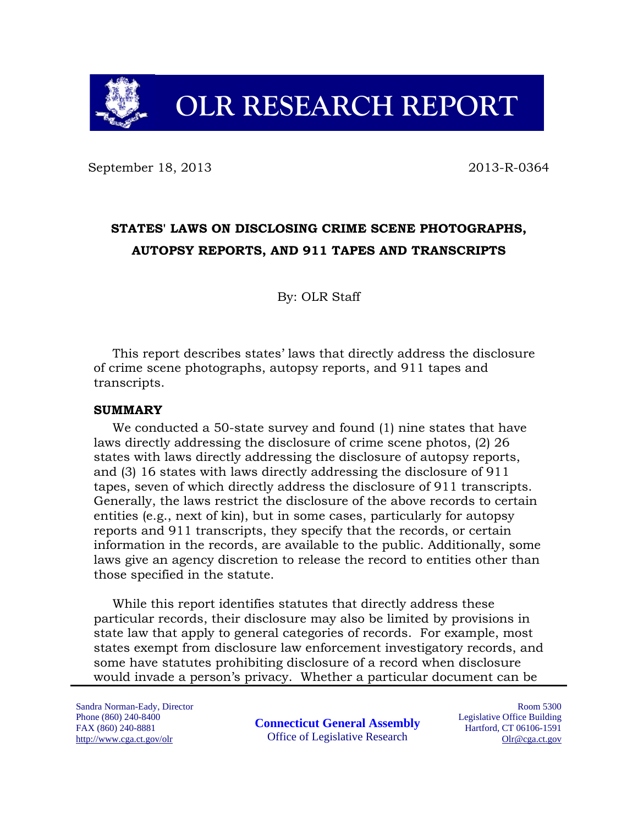

# **OLR RESEARCH REPORT**

September 18, 2013 2013 2013

# **STATES' LAWS ON DISCLOSING CRIME SCENE PHOTOGRAPHS, AUTOPSY REPORTS, AND 911 TAPES AND TRANSCRIPTS**

By: OLR Staff

This report describes states' laws that directly address the disclosure of crime scene photographs, autopsy reports, and 911 tapes and transcripts.

#### **SUMMARY**

We conducted a 50-state survey and found (1) nine states that have laws directly addressing the disclosure of crime scene photos, (2) 26 states with laws directly addressing the disclosure of autopsy reports, and (3) 16 states with laws directly addressing the disclosure of 911 tapes, seven of which directly address the disclosure of 911 transcripts. Generally, the laws restrict the disclosure of the above records to certain entities (e.g., next of kin), but in some cases, particularly for autopsy reports and 911 transcripts, they specify that the records, or certain information in the records, are available to the public. Additionally, some laws give an agency discretion to release the record to entities other than those specified in the statute.

While this report identifies statutes that directly address these particular records, their disclosure may also be limited by provisions in state law that apply to general categories of records. For example, most states exempt from disclosure law enforcement investigatory records, and some have statutes prohibiting disclosure of a record when disclosure would invade a person's privacy. Whether a particular document can be

Sandra Norman-Eady, Director Phone (860) 240-8400 FAX (860) 240-8881 http://www.cga.ct.gov/olr

**Connecticut General Assembly** Office of Legislative Research

Room 5300 Legislative Office Building Hartford, CT 06106-1591 Olr@cga.ct.gov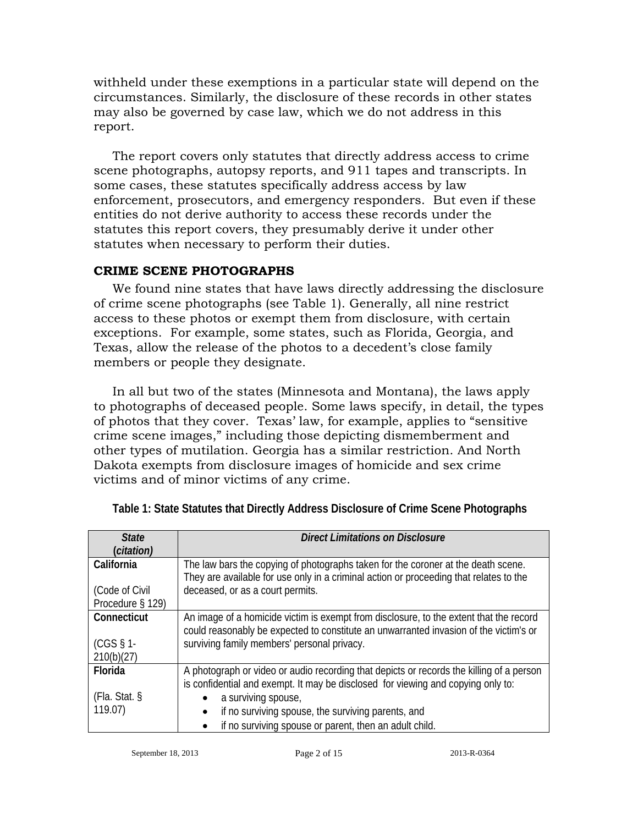withheld under these exemptions in a particular state will depend on the circumstances. Similarly, the disclosure of these records in other states may also be governed by case law, which we do not address in this report.

The report covers only statutes that directly address access to crime scene photographs, autopsy reports, and 911 tapes and transcripts. In some cases, these statutes specifically address access by law enforcement, prosecutors, and emergency responders. But even if these entities do not derive authority to access these records under the statutes this report covers, they presumably derive it under other statutes when necessary to perform their duties.

## **CRIME SCENE PHOTOGRAPHS**

We found nine states that have laws directly addressing the disclosure of crime scene photographs (see Table 1). Generally, all nine restrict access to these photos or exempt them from disclosure, with certain exceptions. For example, some states, such as Florida, Georgia, and Texas, allow the release of the photos to a decedent's close family members or people they designate.

In all but two of the states (Minnesota and Montana), the laws apply to photographs of deceased people. Some laws specify, in detail, the types of photos that they cover. Texas' law, for example, applies to "sensitive crime scene images," including those depicting dismemberment and other types of mutilation. Georgia has a similar restriction. And North Dakota exempts from disclosure images of homicide and sex crime victims and of minor victims of any crime.

| <b>State</b><br>(citation) | <b>Direct Limitations on Disclosure</b>                                                  |  |  |
|----------------------------|------------------------------------------------------------------------------------------|--|--|
| California                 | The law bars the copying of photographs taken for the coroner at the death scene.        |  |  |
|                            | They are available for use only in a criminal action or proceeding that relates to the   |  |  |
|                            |                                                                                          |  |  |
| (Code of Civil)            | deceased, or as a court permits.                                                         |  |  |
| Procedure § 129)           |                                                                                          |  |  |
| Connecticut                | An image of a homicide victim is exempt from disclosure, to the extent that the record   |  |  |
|                            | could reasonably be expected to constitute an unwarranted invasion of the victim's or    |  |  |
| $(CGS \S 1$ -              | surviving family members' personal privacy.                                              |  |  |
| 210(b)(27)                 |                                                                                          |  |  |
| Florida                    | A photograph or video or audio recording that depicts or records the killing of a person |  |  |
|                            | is confidential and exempt. It may be disclosed for viewing and copying only to:         |  |  |
| (Flag. Stat. §             | a surviving spouse,                                                                      |  |  |
| 119.07                     | if no surviving spouse, the surviving parents, and<br>$\bullet$                          |  |  |
|                            | if no surviving spouse or parent, then an adult child.<br>$\bullet$                      |  |  |

**Table 1: State Statutes that Directly Address Disclosure of Crime Scene Photographs**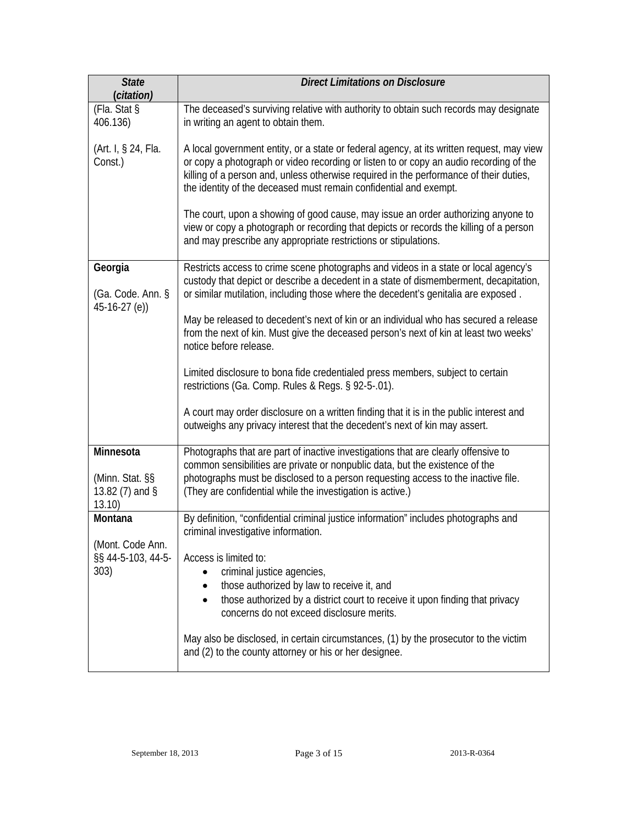| <b>State</b><br>(citation)                                 | <b>Direct Limitations on Disclosure</b>                                                                                                                                                                                                                                                                                                            |  |  |
|------------------------------------------------------------|----------------------------------------------------------------------------------------------------------------------------------------------------------------------------------------------------------------------------------------------------------------------------------------------------------------------------------------------------|--|--|
| (Fla. Stat §<br>406.136)                                   | The deceased's surviving relative with authority to obtain such records may designate<br>in writing an agent to obtain them.                                                                                                                                                                                                                       |  |  |
| (Art. I, § 24, Fla.<br>Const.)                             | A local government entity, or a state or federal agency, at its written request, may view<br>or copy a photograph or video recording or listen to or copy an audio recording of the<br>killing of a person and, unless otherwise required in the performance of their duties,<br>the identity of the deceased must remain confidential and exempt. |  |  |
|                                                            | The court, upon a showing of good cause, may issue an order authorizing anyone to<br>view or copy a photograph or recording that depicts or records the killing of a person<br>and may prescribe any appropriate restrictions or stipulations.                                                                                                     |  |  |
| Georgia<br>(Ga. Code. Ann. §<br>$45-16-27$ (e))            | Restricts access to crime scene photographs and videos in a state or local agency's<br>custody that depict or describe a decedent in a state of dismemberment, decapitation,<br>or similar mutilation, including those where the decedent's genitalia are exposed.                                                                                 |  |  |
|                                                            | May be released to decedent's next of kin or an individual who has secured a release<br>from the next of kin. Must give the deceased person's next of kin at least two weeks'<br>notice before release.                                                                                                                                            |  |  |
|                                                            | Limited disclosure to bona fide credentialed press members, subject to certain<br>restrictions (Ga. Comp. Rules & Regs. § 92-5-.01).                                                                                                                                                                                                               |  |  |
|                                                            | A court may order disclosure on a written finding that it is in the public interest and<br>outweighs any privacy interest that the decedent's next of kin may assert.                                                                                                                                                                              |  |  |
| Minnesota<br>(Minn. Stat. §§<br>13.82 $(7)$ and §<br>13.10 | Photographs that are part of inactive investigations that are clearly offensive to<br>common sensibilities are private or nonpublic data, but the existence of the<br>photographs must be disclosed to a person requesting access to the inactive file.<br>(They are confidential while the investigation is active.)                              |  |  |
| Montana                                                    | By definition, "confidential criminal justice information" includes photographs and<br>criminal investigative information.                                                                                                                                                                                                                         |  |  |
| (Mont. Code Ann.<br>§§ 44-5-103, 44-5-<br>303)             | Access is limited to:<br>criminal justice agencies,<br>those authorized by law to receive it, and<br>those authorized by a district court to receive it upon finding that privacy<br>$\bullet$<br>concerns do not exceed disclosure merits.                                                                                                        |  |  |
|                                                            | May also be disclosed, in certain circumstances, (1) by the prosecutor to the victim<br>and (2) to the county attorney or his or her designee.                                                                                                                                                                                                     |  |  |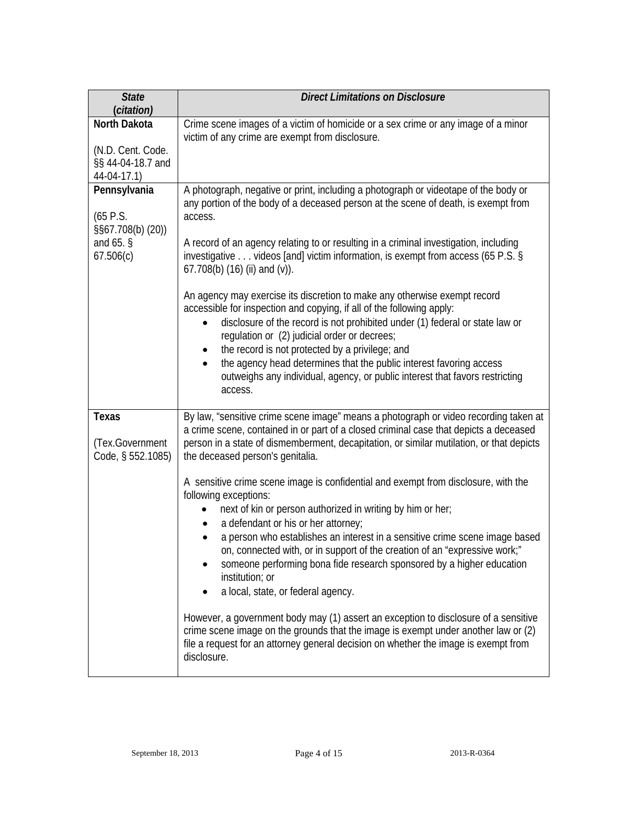| <b>State</b><br>(citation)                                                | <b>Direct Limitations on Disclosure</b>                                                                                                                                                                                                                                                                                                                                                                                                                                                                                                                                                                                                                                                                                                                                                                                                                                                                                                                                                                                                                                                                                          |  |
|---------------------------------------------------------------------------|----------------------------------------------------------------------------------------------------------------------------------------------------------------------------------------------------------------------------------------------------------------------------------------------------------------------------------------------------------------------------------------------------------------------------------------------------------------------------------------------------------------------------------------------------------------------------------------------------------------------------------------------------------------------------------------------------------------------------------------------------------------------------------------------------------------------------------------------------------------------------------------------------------------------------------------------------------------------------------------------------------------------------------------------------------------------------------------------------------------------------------|--|
| North Dakota<br>(N.D. Cent. Code.<br>§§ 44-04-18.7 and<br>44-04-17.1)     | Crime scene images of a victim of homicide or a sex crime or any image of a minor<br>victim of any crime are exempt from disclosure.                                                                                                                                                                                                                                                                                                                                                                                                                                                                                                                                                                                                                                                                                                                                                                                                                                                                                                                                                                                             |  |
| Pennsylvania<br>(65 P.S.<br>§§67.708(b) (20))<br>and $65.$ §<br>67.506(c) | A photograph, negative or print, including a photograph or videotape of the body or<br>any portion of the body of a deceased person at the scene of death, is exempt from<br>access.<br>A record of an agency relating to or resulting in a criminal investigation, including<br>investigative videos [and] victim information, is exempt from access (65 P.S. §<br>67.708(b) $(16)$ (ii) and $(v)$ ).<br>An agency may exercise its discretion to make any otherwise exempt record<br>accessible for inspection and copying, if all of the following apply:<br>disclosure of the record is not prohibited under (1) federal or state law or<br>regulation or (2) judicial order or decrees;<br>the record is not protected by a privilege; and<br>$\bullet$<br>the agency head determines that the public interest favoring access<br>outweighs any individual, agency, or public interest that favors restricting<br>access.                                                                                                                                                                                                   |  |
| Texas<br>(Tex.Government<br>Code, § 552.1085)                             | By law, "sensitive crime scene image" means a photograph or video recording taken at<br>a crime scene, contained in or part of a closed criminal case that depicts a deceased<br>person in a state of dismemberment, decapitation, or similar mutilation, or that depicts<br>the deceased person's genitalia.<br>A sensitive crime scene image is confidential and exempt from disclosure, with the<br>following exceptions:<br>next of kin or person authorized in writing by him or her;<br>a defendant or his or her attorney;<br>$\bullet$<br>a person who establishes an interest in a sensitive crime scene image based<br>on, connected with, or in support of the creation of an "expressive work;"<br>someone performing bona fide research sponsored by a higher education<br>institution; or<br>a local, state, or federal agency.<br>However, a government body may (1) assert an exception to disclosure of a sensitive<br>crime scene image on the grounds that the image is exempt under another law or (2)<br>file a request for an attorney general decision on whether the image is exempt from<br>disclosure. |  |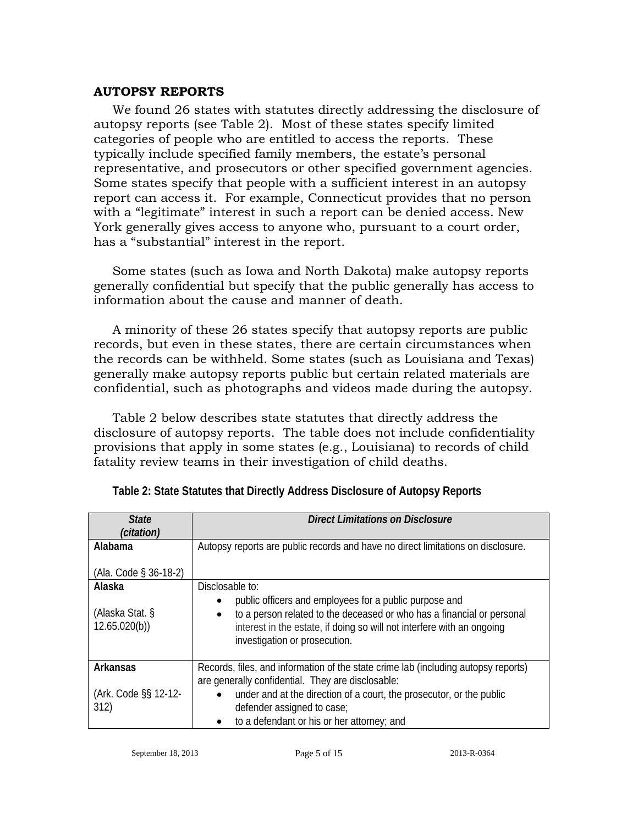#### **AUTOPSY REPORTS**

We found 26 states with statutes directly addressing the disclosure of autopsy reports (see Table 2). Most of these states specify limited categories of people who are entitled to access the reports. These typically include specified family members, the estate's personal representative, and prosecutors or other specified government agencies. Some states specify that people with a sufficient interest in an autopsy report can access it. For example, Connecticut provides that no person with a "legitimate" interest in such a report can be denied access. New York generally gives access to anyone who, pursuant to a court order, has a "substantial" interest in the report.

Some states (such as Iowa and North Dakota) make autopsy reports generally confidential but specify that the public generally has access to information about the cause and manner of death.

A minority of these 26 states specify that autopsy reports are public records, but even in these states, there are certain circumstances when the records can be withheld. Some states (such as Louisiana and Texas) generally make autopsy reports public but certain related materials are confidential, such as photographs and videos made during the autopsy.

Table 2 below describes state statutes that directly address the disclosure of autopsy reports. The table does not include confidentiality provisions that apply in some states (e.g., Louisiana) to records of child fatality review teams in their investigation of child deaths.

| <b>State</b><br>(citation)      | Direct Limitations on Disclosure                                                                                                                                                                                                                         |
|---------------------------------|----------------------------------------------------------------------------------------------------------------------------------------------------------------------------------------------------------------------------------------------------------|
| Alabama                         | Autopsy reports are public records and have no direct limitations on disclosure.                                                                                                                                                                         |
| (Ala. Code § 36-18-2)           |                                                                                                                                                                                                                                                          |
| Alaska                          | Disclosable to:                                                                                                                                                                                                                                          |
| (Alaska Stat. §<br>12.65.020(b) | public officers and employees for a public purpose and<br>to a person related to the deceased or who has a financial or personal<br>$\bullet$<br>interest in the estate, if doing so will not interfere with an ongoing<br>investigation or prosecution. |
| Arkansas                        | Records, files, and information of the state crime lab (including autopsy reports)<br>are generally confidential. They are disclosable:                                                                                                                  |
| (Ark. Code §§ 12-12-<br>312)    | under and at the direction of a court, the prosecutor, or the public<br>defender assigned to case;<br>to a defendant or his or her attorney; and                                                                                                         |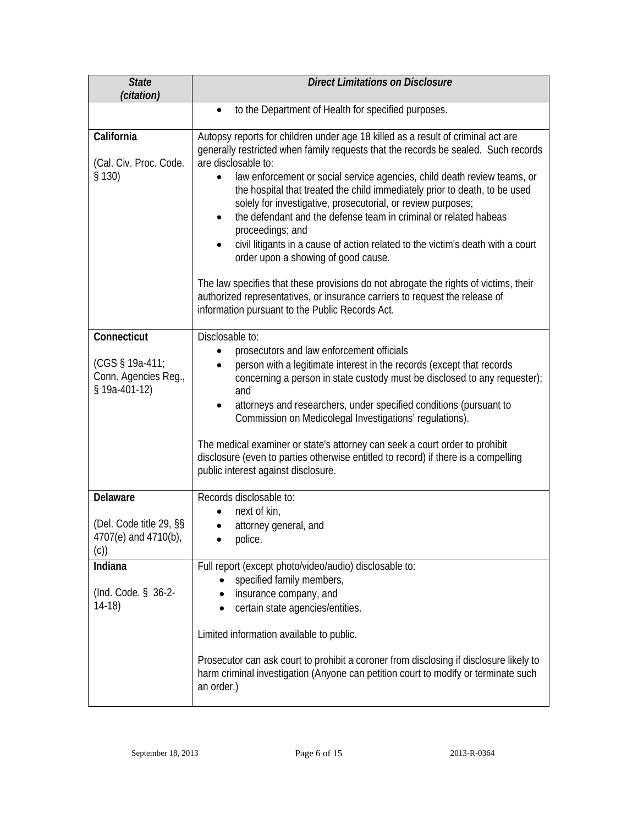| <b>State</b><br>(citation)                                              | <b>Direct Limitations on Disclosure</b>                                                                                                                                                                                                                                                                                                                                                                                                                                                                                                                                                                                                                                                                                                                                                                                                                                          |  |
|-------------------------------------------------------------------------|----------------------------------------------------------------------------------------------------------------------------------------------------------------------------------------------------------------------------------------------------------------------------------------------------------------------------------------------------------------------------------------------------------------------------------------------------------------------------------------------------------------------------------------------------------------------------------------------------------------------------------------------------------------------------------------------------------------------------------------------------------------------------------------------------------------------------------------------------------------------------------|--|
|                                                                         | to the Department of Health for specified purposes.<br>$\bullet$                                                                                                                                                                                                                                                                                                                                                                                                                                                                                                                                                                                                                                                                                                                                                                                                                 |  |
| California<br>(Cal. Civ. Proc. Code.<br>§ 130)                          | Autopsy reports for children under age 18 killed as a result of criminal act are<br>generally restricted when family requests that the records be sealed. Such records<br>are disclosable to:<br>law enforcement or social service agencies, child death review teams, or<br>the hospital that treated the child immediately prior to death, to be used<br>solely for investigative, prosecutorial, or review purposes;<br>the defendant and the defense team in criminal or related habeas<br>$\bullet$<br>proceedings; and<br>civil litigants in a cause of action related to the victim's death with a court<br>order upon a showing of good cause.<br>The law specifies that these provisions do not abrogate the rights of victims, their<br>authorized representatives, or insurance carriers to request the release of<br>information pursuant to the Public Records Act. |  |
| Connecticut<br>(CGS § 19a-411;<br>Conn. Agencies Reg.,<br>§ 19a-401-12) | Disclosable to:<br>prosecutors and law enforcement officials<br>person with a legitimate interest in the records (except that records<br>concerning a person in state custody must be disclosed to any requester);<br>and<br>attorneys and researchers, under specified conditions (pursuant to<br>Commission on Medicolegal Investigations' regulations).<br>The medical examiner or state's attorney can seek a court order to prohibit<br>disclosure (even to parties otherwise entitled to record) if there is a compelling<br>public interest against disclosure.                                                                                                                                                                                                                                                                                                           |  |
| Delaware<br>(Del. Code title 29, §§<br>4707(e) and 4710(b),<br>(C))     | Records disclosable to:<br>next of kin,<br>attorney general, and<br>police.                                                                                                                                                                                                                                                                                                                                                                                                                                                                                                                                                                                                                                                                                                                                                                                                      |  |
| Indiana<br>(Ind. Code. § 36-2-<br>$14-18$                               | Full report (except photo/video/audio) disclosable to:<br>specified family members,<br>insurance company, and<br>certain state agencies/entities.<br>Limited information available to public.<br>Prosecutor can ask court to prohibit a coroner from disclosing if disclosure likely to<br>harm criminal investigation (Anyone can petition court to modify or terminate such<br>an order.)                                                                                                                                                                                                                                                                                                                                                                                                                                                                                      |  |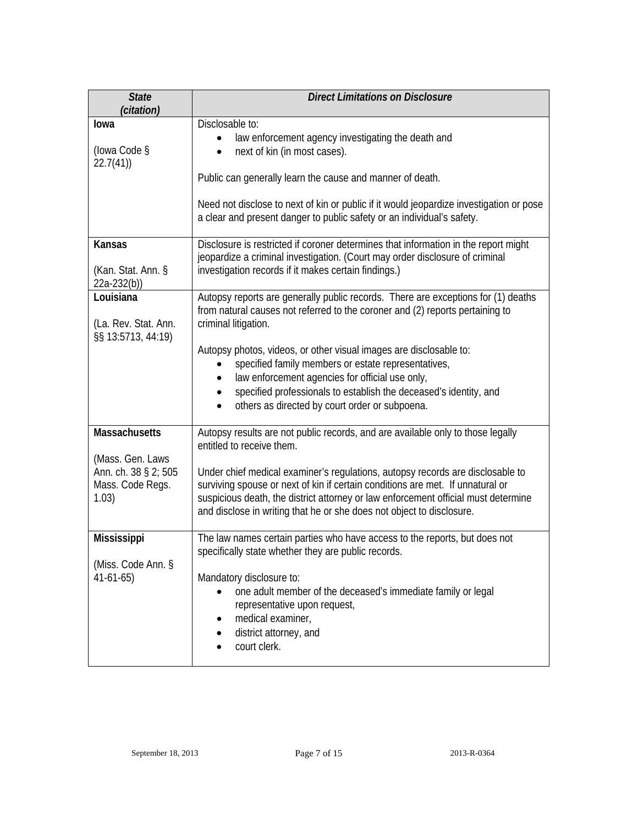| <b>State</b><br>(citation)                              | <b>Direct Limitations on Disclosure</b>                                                                                                                                                                                                                                                                                         |  |
|---------------------------------------------------------|---------------------------------------------------------------------------------------------------------------------------------------------------------------------------------------------------------------------------------------------------------------------------------------------------------------------------------|--|
| lowa<br>(lowa Code §<br>22.7(41)                        | Disclosable to:<br>law enforcement agency investigating the death and<br>next of kin (in most cases).<br>Public can generally learn the cause and manner of death.                                                                                                                                                              |  |
|                                                         | Need not disclose to next of kin or public if it would jeopardize investigation or pose<br>a clear and present danger to public safety or an individual's safety.                                                                                                                                                               |  |
| <b>Kansas</b><br>(Kan. Stat. Ann. §<br>$22a-232(b)$     | Disclosure is restricted if coroner determines that information in the report might<br>jeopardize a criminal investigation. (Court may order disclosure of criminal<br>investigation records if it makes certain findings.)                                                                                                     |  |
| Louisiana<br>(La. Rev. Stat. Ann.<br>§§ 13:5713, 44:19) | Autopsy reports are generally public records. There are exceptions for (1) deaths<br>from natural causes not referred to the coroner and (2) reports pertaining to<br>criminal litigation.                                                                                                                                      |  |
|                                                         | Autopsy photos, videos, or other visual images are disclosable to:<br>specified family members or estate representatives,<br>$\bullet$<br>law enforcement agencies for official use only,<br>specified professionals to establish the deceased's identity, and<br>others as directed by court order or subpoena.                |  |
| <b>Massachusetts</b><br>(Mass. Gen. Laws                | Autopsy results are not public records, and are available only to those legally<br>entitled to receive them.                                                                                                                                                                                                                    |  |
| Ann. ch. 38 § 2; 505<br>Mass. Code Regs.<br>1.03)       | Under chief medical examiner's regulations, autopsy records are disclosable to<br>surviving spouse or next of kin if certain conditions are met. If unnatural or<br>suspicious death, the district attorney or law enforcement official must determine<br>and disclose in writing that he or she does not object to disclosure. |  |
| Mississippi                                             | The law names certain parties who have access to the reports, but does not<br>specifically state whether they are public records.                                                                                                                                                                                               |  |
| (Miss. Code Ann. §<br>$41-61-65$                        | Mandatory disclosure to:<br>one adult member of the deceased's immediate family or legal<br>representative upon request,<br>medical examiner,<br>district attorney, and<br>court clerk.                                                                                                                                         |  |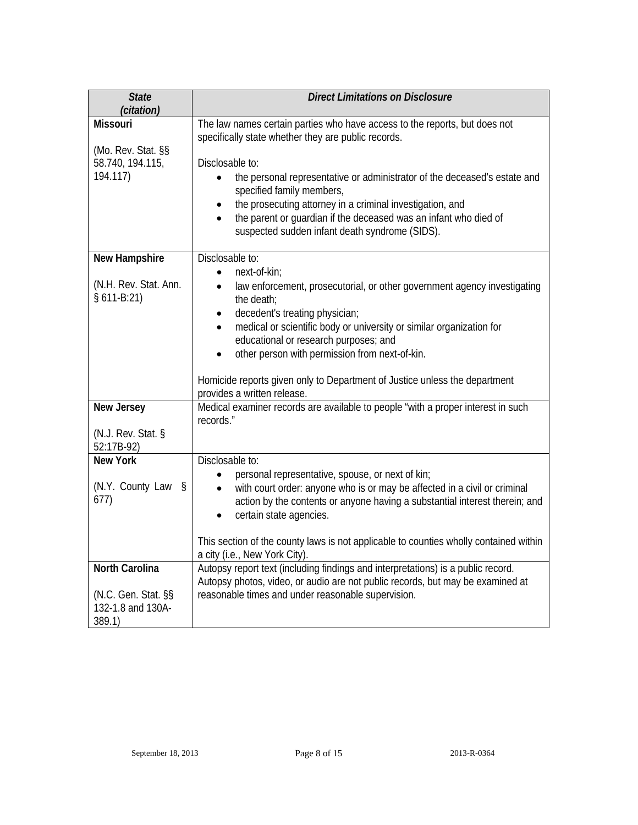| <b>State</b><br>(citation)                                                  | <b>Direct Limitations on Disclosure</b>                                                                                                                                                                                                                                                                                                                                                                                                                                                         |  |  |
|-----------------------------------------------------------------------------|-------------------------------------------------------------------------------------------------------------------------------------------------------------------------------------------------------------------------------------------------------------------------------------------------------------------------------------------------------------------------------------------------------------------------------------------------------------------------------------------------|--|--|
| <b>Missouri</b><br>(Mo. Rev. Stat. §§<br>58.740, 194.115,<br>194.117)       | The law names certain parties who have access to the reports, but does not<br>specifically state whether they are public records.<br>Disclosable to:<br>the personal representative or administrator of the deceased's estate and<br>$\bullet$<br>specified family members,<br>the prosecuting attorney in a criminal investigation, and<br>$\bullet$<br>the parent or guardian if the deceased was an infant who died of<br>suspected sudden infant death syndrome (SIDS).                     |  |  |
| New Hampshire<br>(N.H. Rev. Stat. Ann.<br>$§ 611-B:21)$                     | Disclosable to:<br>next-of-kin;<br>$\bullet$<br>law enforcement, prosecutorial, or other government agency investigating<br>$\bullet$<br>the death;<br>decedent's treating physician;<br>$\bullet$<br>medical or scientific body or university or similar organization for<br>$\bullet$<br>educational or research purposes; and<br>other person with permission from next-of-kin.<br>Homicide reports given only to Department of Justice unless the department<br>provides a written release. |  |  |
| New Jersey<br>(N.J. Rev. Stat. §<br>52:17B-92)                              | Medical examiner records are available to people "with a proper interest in such<br>records."                                                                                                                                                                                                                                                                                                                                                                                                   |  |  |
| <b>New York</b><br>(N.Y. County Law §<br>677)                               | Disclosable to:<br>personal representative, spouse, or next of kin;<br>$\bullet$<br>with court order: anyone who is or may be affected in a civil or criminal<br>$\bullet$<br>action by the contents or anyone having a substantial interest therein; and<br>certain state agencies.<br>$\bullet$<br>This section of the county laws is not applicable to counties wholly contained within<br>a city (i.e., New York City).                                                                     |  |  |
| <b>North Carolina</b><br>(N.C. Gen. Stat. §§<br>132-1.8 and 130A-<br>389.1) | Autopsy report text (including findings and interpretations) is a public record.<br>Autopsy photos, video, or audio are not public records, but may be examined at<br>reasonable times and under reasonable supervision.                                                                                                                                                                                                                                                                        |  |  |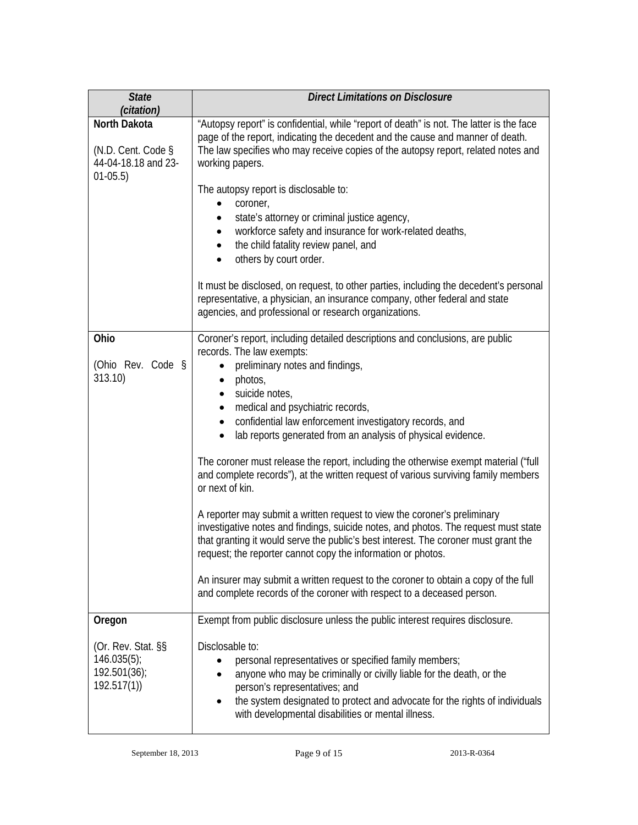| <b>State</b><br>(citation)                                              | <b>Direct Limitations on Disclosure</b>                                                                                                                                                                                                                                                                                                                                                                                                                                                                                 |  |
|-------------------------------------------------------------------------|-------------------------------------------------------------------------------------------------------------------------------------------------------------------------------------------------------------------------------------------------------------------------------------------------------------------------------------------------------------------------------------------------------------------------------------------------------------------------------------------------------------------------|--|
| North Dakota<br>(N.D. Cent. Code §<br>44-04-18.18 and 23-<br>$01-05.5)$ | "Autopsy report" is confidential, while "report of death" is not. The latter is the face<br>page of the report, indicating the decedent and the cause and manner of death.<br>The law specifies who may receive copies of the autopsy report, related notes and<br>working papers.                                                                                                                                                                                                                                      |  |
|                                                                         | The autopsy report is disclosable to:<br>coroner,<br>$\bullet$<br>state's attorney or criminal justice agency,<br>٠<br>workforce safety and insurance for work-related deaths,                                                                                                                                                                                                                                                                                                                                          |  |
|                                                                         | the child fatality review panel, and<br>٠<br>others by court order.<br>$\bullet$                                                                                                                                                                                                                                                                                                                                                                                                                                        |  |
|                                                                         | It must be disclosed, on request, to other parties, including the decedent's personal<br>representative, a physician, an insurance company, other federal and state<br>agencies, and professional or research organizations.                                                                                                                                                                                                                                                                                            |  |
| Ohio<br>(Ohio Rev. Code §<br>313.10)                                    | Coroner's report, including detailed descriptions and conclusions, are public<br>records. The law exempts:<br>preliminary notes and findings,<br>photos,<br>$\bullet$                                                                                                                                                                                                                                                                                                                                                   |  |
|                                                                         | suicide notes,<br>$\bullet$<br>medical and psychiatric records,<br>$\bullet$<br>confidential law enforcement investigatory records, and<br>$\bullet$<br>lab reports generated from an analysis of physical evidence.<br>$\bullet$                                                                                                                                                                                                                                                                                       |  |
|                                                                         | The coroner must release the report, including the otherwise exempt material ("full<br>and complete records"), at the written request of various surviving family members<br>or next of kin.<br>A reporter may submit a written request to view the coroner's preliminary<br>investigative notes and findings, suicide notes, and photos. The request must state<br>that granting it would serve the public's best interest. The coroner must grant the<br>request; the reporter cannot copy the information or photos. |  |
|                                                                         |                                                                                                                                                                                                                                                                                                                                                                                                                                                                                                                         |  |
|                                                                         | An insurer may submit a written request to the coroner to obtain a copy of the full<br>and complete records of the coroner with respect to a deceased person.                                                                                                                                                                                                                                                                                                                                                           |  |
| Oregon                                                                  | Exempt from public disclosure unless the public interest requires disclosure.                                                                                                                                                                                                                                                                                                                                                                                                                                           |  |
| (Or. Rev. Stat. §§<br>$146.035(5)$ ;<br>192.501(36);<br>192.517(1)      | Disclosable to:<br>personal representatives or specified family members;<br>anyone who may be criminally or civilly liable for the death, or the<br>person's representatives; and<br>the system designated to protect and advocate for the rights of individuals<br>with developmental disabilities or mental illness.                                                                                                                                                                                                  |  |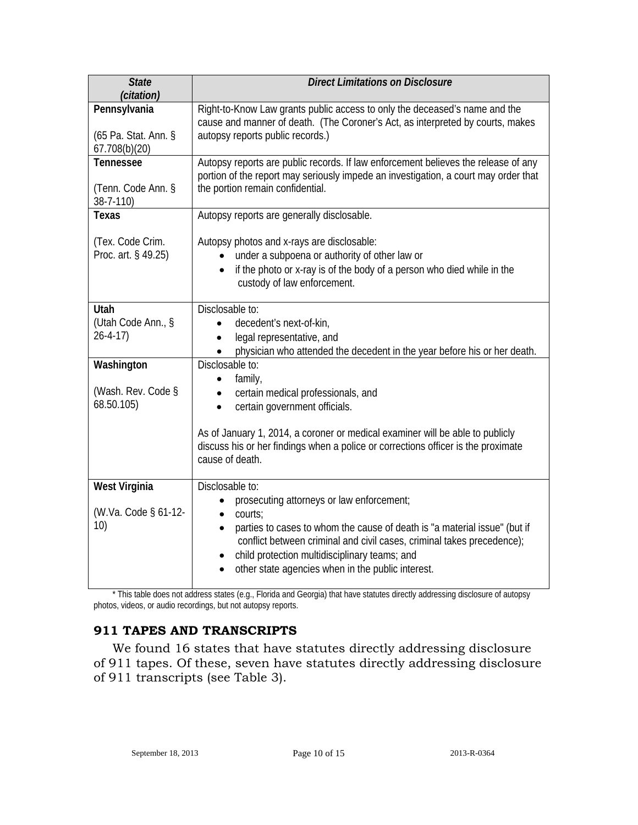| <b>State</b><br>(citation)                            | <b>Direct Limitations on Disclosure</b>                                                                                                                                                                                                                                                                                                                        |  |
|-------------------------------------------------------|----------------------------------------------------------------------------------------------------------------------------------------------------------------------------------------------------------------------------------------------------------------------------------------------------------------------------------------------------------------|--|
| Pennsylvania<br>(65 Pa. Stat. Ann. §<br>67.708(b)(20) | Right-to-Know Law grants public access to only the deceased's name and the<br>cause and manner of death. (The Coroner's Act, as interpreted by courts, makes<br>autopsy reports public records.)                                                                                                                                                               |  |
| Tennessee<br>(Tenn. Code Ann. §<br>38-7-110)          | Autopsy reports are public records. If law enforcement believes the release of any<br>portion of the report may seriously impede an investigation, a court may order that<br>the portion remain confidential.                                                                                                                                                  |  |
| Texas                                                 | Autopsy reports are generally disclosable.                                                                                                                                                                                                                                                                                                                     |  |
| (Tex. Code Crim.<br>Proc. art. § 49.25)               | Autopsy photos and x-rays are disclosable:<br>under a subpoena or authority of other law or<br>if the photo or x-ray is of the body of a person who died while in the<br>custody of law enforcement.                                                                                                                                                           |  |
| <b>Utah</b><br>(Utah Code Ann., §<br>$26 - 4 - 17$    | Disclosable to:<br>decedent's next-of-kin,<br>legal representative, and<br>$\bullet$<br>physician who attended the decedent in the year before his or her death.                                                                                                                                                                                               |  |
| Washington<br>(Wash. Rev. Code §<br>68.50.105)        | Disclosable to:<br>family,<br>$\bullet$<br>certain medical professionals, and<br>$\bullet$<br>certain government officials.<br>$\bullet$<br>As of January 1, 2014, a coroner or medical examiner will be able to publicly<br>discuss his or her findings when a police or corrections officer is the proximate                                                 |  |
|                                                       | cause of death.                                                                                                                                                                                                                                                                                                                                                |  |
| West Virginia<br>(W.Va. Code § 61-12-<br>10)          | Disclosable to:<br>prosecuting attorneys or law enforcement;<br>courts:<br>parties to cases to whom the cause of death is "a material issue" (but if<br>$\bullet$<br>conflict between criminal and civil cases, criminal takes precedence);<br>child protection multidisciplinary teams; and<br>$\bullet$<br>other state agencies when in the public interest. |  |

\* This table does not address states (e.g., Florida and Georgia) that have statutes directly addressing disclosure of autopsy photos, videos, or audio recordings, but not autopsy reports.

# **911 TAPES AND TRANSCRIPTS**

We found 16 states that have statutes directly addressing disclosure of 911 tapes. Of these, seven have statutes directly addressing disclosure of 911 transcripts (see Table 3).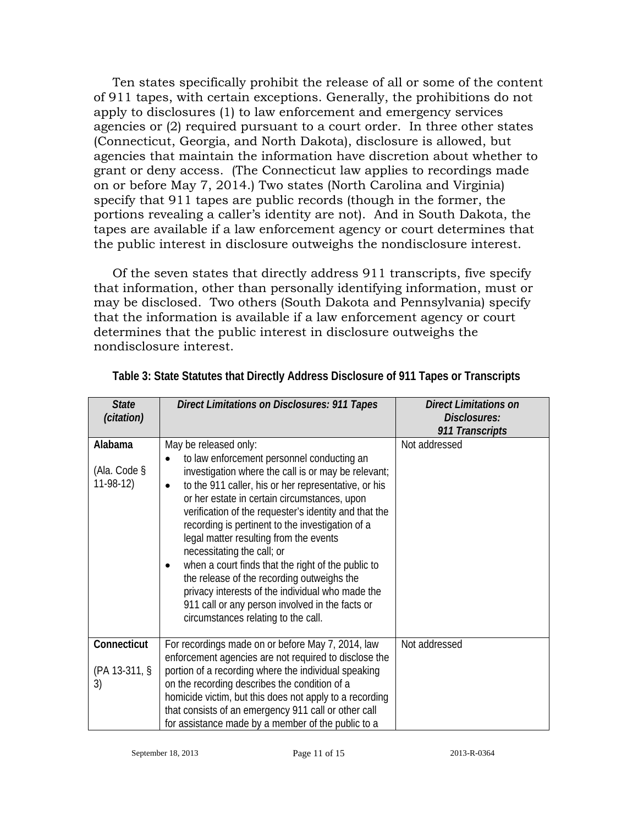Ten states specifically prohibit the release of all or some of the content of 911 tapes, with certain exceptions. Generally, the prohibitions do not apply to disclosures (1) to law enforcement and emergency services agencies or (2) required pursuant to a court order. In three other states (Connecticut, Georgia, and North Dakota), disclosure is allowed, but agencies that maintain the information have discretion about whether to grant or deny access. (The Connecticut law applies to recordings made on or before May 7, 2014.) Two states (North Carolina and Virginia) specify that 911 tapes are public records (though in the former, the portions revealing a caller's identity are not). And in South Dakota, the tapes are available if a law enforcement agency or court determines that the public interest in disclosure outweighs the nondisclosure interest.

Of the seven states that directly address 911 transcripts, five specify that information, other than personally identifying information, must or may be disclosed. Two others (South Dakota and Pennsylvania) specify that the information is available if a law enforcement agency or court determines that the public interest in disclosure outweighs the nondisclosure interest.

| <b>State</b><br>(citation)               | <b>Direct Limitations on Disclosures: 911 Tapes</b>                                                                                                                                                                                                                                                                                                                                                                                                                                                                                                                                                                                                                       | <b>Direct Limitations on</b><br>Disclosures:<br>911 Transcripts |
|------------------------------------------|---------------------------------------------------------------------------------------------------------------------------------------------------------------------------------------------------------------------------------------------------------------------------------------------------------------------------------------------------------------------------------------------------------------------------------------------------------------------------------------------------------------------------------------------------------------------------------------------------------------------------------------------------------------------------|-----------------------------------------------------------------|
| Alabama<br>(Ala. Code $\S$<br>$11-98-12$ | May be released only:<br>to law enforcement personnel conducting an<br>investigation where the call is or may be relevant;<br>to the 911 caller, his or her representative, or his<br>or her estate in certain circumstances, upon<br>verification of the requester's identity and that the<br>recording is pertinent to the investigation of a<br>legal matter resulting from the events<br>necessitating the call; or<br>when a court finds that the right of the public to<br>the release of the recording outweighs the<br>privacy interests of the individual who made the<br>911 call or any person involved in the facts or<br>circumstances relating to the call. | Not addressed                                                   |
| Connecticut<br>(PA 13-311, §<br>3)       | For recordings made on or before May 7, 2014, law<br>enforcement agencies are not required to disclose the<br>portion of a recording where the individual speaking<br>on the recording describes the condition of a<br>homicide victim, but this does not apply to a recording<br>that consists of an emergency 911 call or other call<br>for assistance made by a member of the public to a                                                                                                                                                                                                                                                                              | Not addressed                                                   |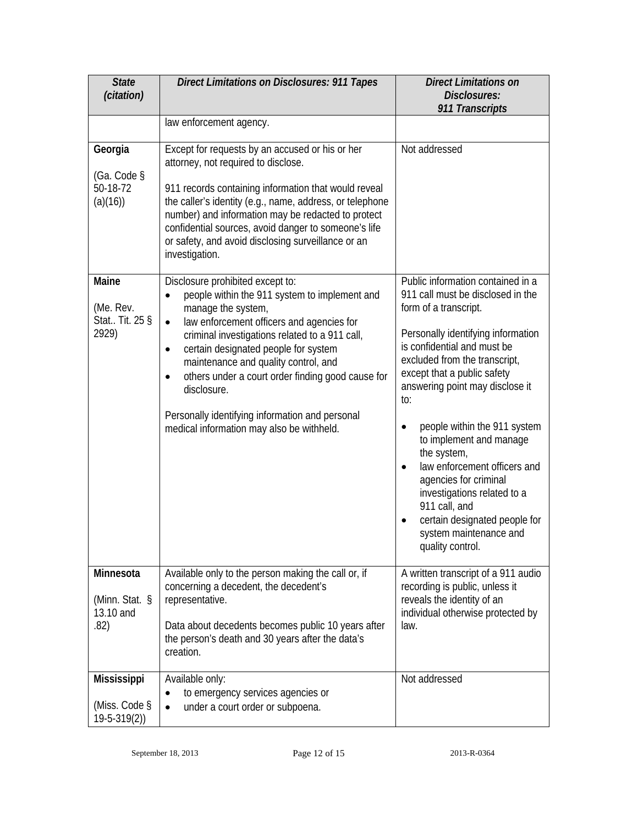| <b>State</b><br>(citation)                                  | <b>Direct Limitations on Disclosures: 911 Tapes</b>                                                                                                                                                                                                                                                                                                                                                                                                                                                            | <b>Direct Limitations on</b><br>Disclosures:<br>911 Transcripts                                                                                                                                                                                                                                                                                                                                                                                                                                                                                               |
|-------------------------------------------------------------|----------------------------------------------------------------------------------------------------------------------------------------------------------------------------------------------------------------------------------------------------------------------------------------------------------------------------------------------------------------------------------------------------------------------------------------------------------------------------------------------------------------|---------------------------------------------------------------------------------------------------------------------------------------------------------------------------------------------------------------------------------------------------------------------------------------------------------------------------------------------------------------------------------------------------------------------------------------------------------------------------------------------------------------------------------------------------------------|
|                                                             | law enforcement agency.                                                                                                                                                                                                                                                                                                                                                                                                                                                                                        |                                                                                                                                                                                                                                                                                                                                                                                                                                                                                                                                                               |
| Georgia<br>(Ga. Code §<br>50-18-72<br>(a)(16))              | Except for requests by an accused or his or her<br>attorney, not required to disclose.<br>911 records containing information that would reveal<br>the caller's identity (e.g., name, address, or telephone<br>number) and information may be redacted to protect<br>confidential sources, avoid danger to someone's life<br>or safety, and avoid disclosing surveillance or an<br>investigation.                                                                                                               | Not addressed                                                                                                                                                                                                                                                                                                                                                                                                                                                                                                                                                 |
| Maine<br>(Me. Rev.<br>Stat Tit. 25 §<br>2929)               | Disclosure prohibited except to:<br>people within the 911 system to implement and<br>$\bullet$<br>manage the system,<br>law enforcement officers and agencies for<br>$\bullet$<br>criminal investigations related to a 911 call,<br>certain designated people for system<br>$\bullet$<br>maintenance and quality control, and<br>others under a court order finding good cause for<br>$\bullet$<br>disclosure.<br>Personally identifying information and personal<br>medical information may also be withheld. | Public information contained in a<br>911 call must be disclosed in the<br>form of a transcript.<br>Personally identifying information<br>is confidential and must be<br>excluded from the transcript,<br>except that a public safety<br>answering point may disclose it<br>to:<br>people within the 911 system<br>$\bullet$<br>to implement and manage<br>the system,<br>law enforcement officers and<br>agencies for criminal<br>investigations related to a<br>911 call, and<br>certain designated people for<br>system maintenance and<br>quality control. |
| Minnesota<br>(Minn. Stat. §<br>13.10 and<br>.82)            | Available only to the person making the call or, if<br>concerning a decedent, the decedent's<br>representative.<br>Data about decedents becomes public 10 years after<br>the person's death and 30 years after the data's<br>creation.                                                                                                                                                                                                                                                                         | A written transcript of a 911 audio<br>recording is public, unless it<br>reveals the identity of an<br>individual otherwise protected by<br>law.                                                                                                                                                                                                                                                                                                                                                                                                              |
| <b>Mississippi</b><br>(Miss. Code $\S$<br>$19 - 5 - 319(2)$ | Available only:<br>to emergency services agencies or<br>$\bullet$<br>under a court order or subpoena.<br>$\bullet$                                                                                                                                                                                                                                                                                                                                                                                             | Not addressed                                                                                                                                                                                                                                                                                                                                                                                                                                                                                                                                                 |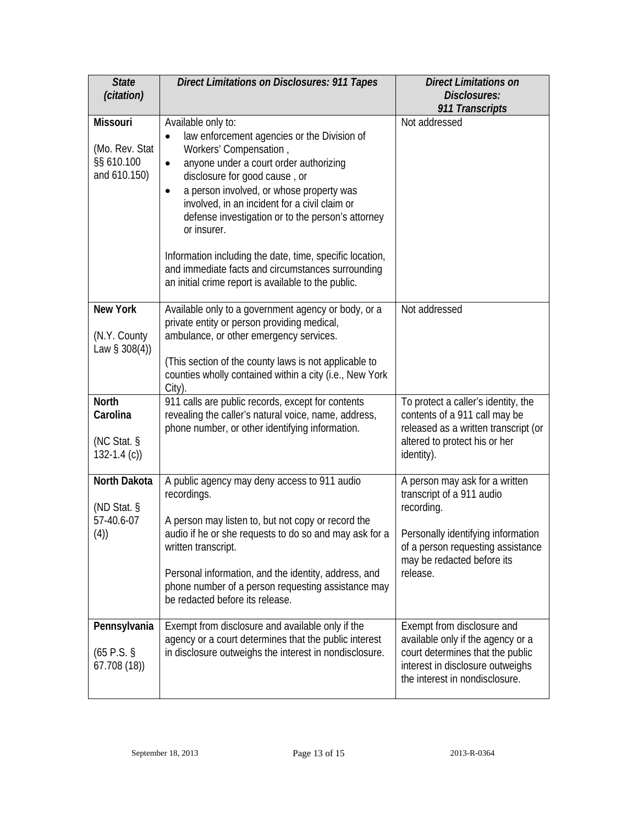| <b>State</b><br>(citation)                                      | Direct Limitations on Disclosures: 911 Tapes                                                                                                                                                                                                                                                                                                                                                                                                                                                                                           | <b>Direct Limitations on</b><br>Disclosures:<br>911 Transcripts                                                                                                                                |
|-----------------------------------------------------------------|----------------------------------------------------------------------------------------------------------------------------------------------------------------------------------------------------------------------------------------------------------------------------------------------------------------------------------------------------------------------------------------------------------------------------------------------------------------------------------------------------------------------------------------|------------------------------------------------------------------------------------------------------------------------------------------------------------------------------------------------|
| <b>Missouri</b><br>(Mo. Rev. Stat<br>§§ 610.100<br>and 610.150) | Available only to:<br>law enforcement agencies or the Division of<br>$\bullet$<br>Workers' Compensation,<br>anyone under a court order authorizing<br>٠<br>disclosure for good cause, or<br>a person involved, or whose property was<br>٠<br>involved, in an incident for a civil claim or<br>defense investigation or to the person's attorney<br>or insurer.<br>Information including the date, time, specific location,<br>and immediate facts and circumstances surrounding<br>an initial crime report is available to the public. | Not addressed                                                                                                                                                                                  |
| <b>New York</b><br>(N.Y. County<br>Law $\S 308(4)$              | Available only to a government agency or body, or a<br>private entity or person providing medical,<br>ambulance, or other emergency services.<br>(This section of the county laws is not applicable to<br>counties wholly contained within a city (i.e., New York<br>City).                                                                                                                                                                                                                                                            | Not addressed                                                                                                                                                                                  |
| <b>North</b><br>Carolina<br>(NC Stat. §<br>132-1.4 $(c)$        | 911 calls are public records, except for contents<br>revealing the caller's natural voice, name, address,<br>phone number, or other identifying information.                                                                                                                                                                                                                                                                                                                                                                           | To protect a caller's identity, the<br>contents of a 911 call may be<br>released as a written transcript (or<br>altered to protect his or her<br>identity).                                    |
| North Dakota<br>(ND Stat. $\S$<br>57-40.6-07<br>(4))            | A public agency may deny access to 911 audio<br>recordings.<br>A person may listen to, but not copy or record the<br>audio if he or she requests to do so and may ask for a<br>written transcript.<br>Personal information, and the identity, address, and<br>phone number of a person requesting assistance may<br>be redacted before its release.                                                                                                                                                                                    | A person may ask for a written<br>transcript of a 911 audio<br>recording.<br>Personally identifying information<br>of a person requesting assistance<br>may be redacted before its<br>release. |
| Pennsylvania<br>$(65 P.S.$ §<br>67.708(18)                      | Exempt from disclosure and available only if the<br>agency or a court determines that the public interest<br>in disclosure outweighs the interest in nondisclosure.                                                                                                                                                                                                                                                                                                                                                                    | Exempt from disclosure and<br>available only if the agency or a<br>court determines that the public<br>interest in disclosure outweighs<br>the interest in nondisclosure.                      |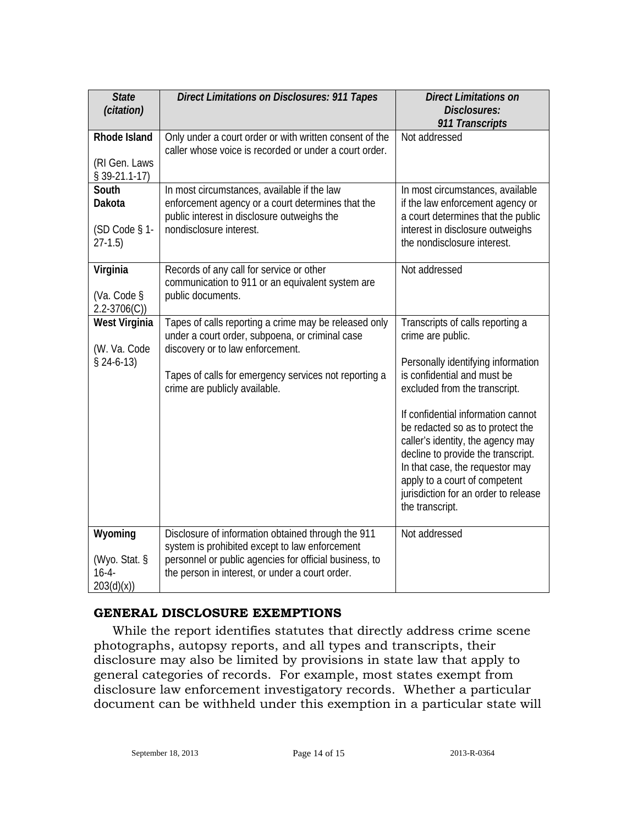| <b>State</b><br>(citation)                            | <b>Direct Limitations on Disclosures: 911 Tapes</b>                                                                                                                                                                                    | <b>Direct Limitations on</b><br>Disclosures:<br>911 Transcripts                                                                                                                                                                                                                                                                                                                                                                                 |
|-------------------------------------------------------|----------------------------------------------------------------------------------------------------------------------------------------------------------------------------------------------------------------------------------------|-------------------------------------------------------------------------------------------------------------------------------------------------------------------------------------------------------------------------------------------------------------------------------------------------------------------------------------------------------------------------------------------------------------------------------------------------|
| <b>Rhode Island</b><br>(RI Gen. Laws<br>$$39-21.1-17$ | Only under a court order or with written consent of the<br>caller whose voice is recorded or under a court order.                                                                                                                      | Not addressed                                                                                                                                                                                                                                                                                                                                                                                                                                   |
| South<br>Dakota<br>(SD Code § 1-<br>$27-1.5$          | In most circumstances, available if the law<br>enforcement agency or a court determines that the<br>public interest in disclosure outweighs the<br>nondisclosure interest.                                                             | In most circumstances, available<br>if the law enforcement agency or<br>a court determines that the public<br>interest in disclosure outweighs<br>the nondisclosure interest.                                                                                                                                                                                                                                                                   |
| Virginia<br>(Va. Code §<br>$2.2 - 3706(C)$            | Records of any call for service or other<br>communication to 911 or an equivalent system are<br>public documents.                                                                                                                      | Not addressed                                                                                                                                                                                                                                                                                                                                                                                                                                   |
| <b>West Virginia</b><br>(W. Va. Code<br>$$24-6-13)$   | Tapes of calls reporting a crime may be released only<br>under a court order, subpoena, or criminal case<br>discovery or to law enforcement.<br>Tapes of calls for emergency services not reporting a<br>crime are publicly available. | Transcripts of calls reporting a<br>crime are public.<br>Personally identifying information<br>is confidential and must be<br>excluded from the transcript.<br>If confidential information cannot<br>be redacted so as to protect the<br>caller's identity, the agency may<br>decline to provide the transcript.<br>In that case, the requestor may<br>apply to a court of competent<br>jurisdiction for an order to release<br>the transcript. |
| Wyoming<br>(Wyo. Stat. §<br>$16 - 4 -$<br>203(d)(x))  | Disclosure of information obtained through the 911<br>system is prohibited except to law enforcement<br>personnel or public agencies for official business, to<br>the person in interest, or under a court order.                      | Not addressed                                                                                                                                                                                                                                                                                                                                                                                                                                   |

### **GENERAL DISCLOSURE EXEMPTIONS**

While the report identifies statutes that directly address crime scene photographs, autopsy reports, and all types and transcripts, their disclosure may also be limited by provisions in state law that apply to general categories of records. For example, most states exempt from disclosure law enforcement investigatory records. Whether a particular document can be withheld under this exemption in a particular state will